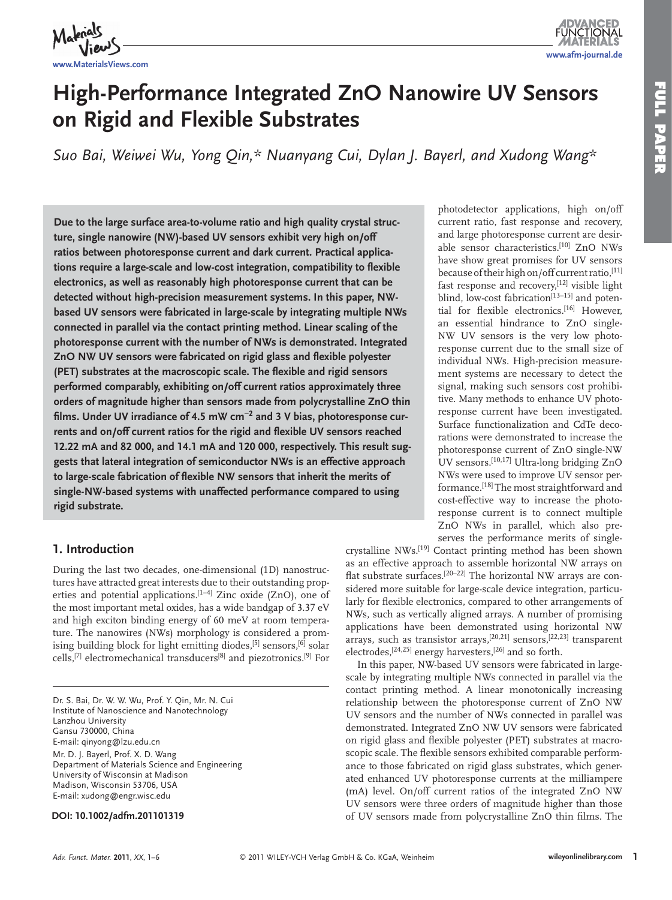

**FUNCTIONAL www.afm-journal.de**

# **High-Performance Integrated ZnO Nanowire UV Sensors on Rigid and Flexible Substrates**

Suo Bai, Weiwei Wu, Yong Qin,\* Nuanyang Cui, Dylan J. Bayerl, and Xudong Wang\*

 **Due to the large surface area-to-volume ratio and high quality crystal structure, single nanowire (NW)-based UV sensors exhibit very high on/off ratios between photoresponse current and dark current. Practical applica**tions require a large-scale and low-cost integration, compatibility to flexible **electronics, as well as reasonably high photoresponse current that can be detected without high-precision measurement systems. In this paper, NWbased UV sensors were fabricated in large-scale by integrating multiple NWs connected in parallel via the contact printing method. Linear scaling of the photoresponse current with the number of NWs is demonstrated. Integrated ZnO NW UV sensors were fabricated on rigid glass and flexible polyester (PET)** substrates at the macroscopic scale. The flexible and rigid sensors **performed comparably, exhibiting on/off current ratios approximately three orders of magnitude higher than sensors made from polycrystalline ZnO thin**  films. Under UV irradiance of 4.5 mW cm<sup>-2</sup> and 3 V bias, photoresponse currents and on/off current ratios for the rigid and flexible UV sensors reached **12.22 mA and 82 000, and 14.1 mA and 120 000, respectively. This result suggests that lateral integration of semiconductor NWs is an effective approach**  to large-scale fabrication of flexible NW sensors that inherit the merits of **single-NW-based systems with unaffected performance compared to using rigid substrate.** 

# **1. Introduction**

 During the last two decades, one-dimensional (1D) nanostructures have attracted great interests due to their outstanding properties and potential applications.<sup>[1-4]</sup> Zinc oxide (ZnO), one of the most important metal oxides, has a wide bandgap of 3.37 eV and high exciton binding energy of 60 meV at room temperature. The nanowires (NWs) morphology is considered a promising building block for light emitting diodes,<sup>[5]</sup> sensors,<sup>[6]</sup> solar cells,<sup>[7]</sup> electromechanical transducers<sup>[8]</sup> and piezotronics.<sup>[9]</sup> For

Dr. S. Bai, Dr. W. W. Wu, Prof. Y. Qin, Mr. N. Cui Institute of Nanoscience and Nanotechnology Lanzhou University Gansu 730000, China E-mail: qinyong@lzu.edu.cn Mr. D. J. Bayerl, Prof. X. D. Wang Department of Materials Science and Engineering University of Wisconsin at Madison Madison, Wisconsin 53706, USA E-mail: xudong@engr.wisc.edu

#### **DOI: 10.1002/adfm.201101319**

photodetector applications, high on/off current ratio, fast response and recovery, and large photoresponse current are desirable sensor characteristics.<sup>[10]</sup> ZnO NWs have show great promises for UV sensors because of their high on/off current ratio, [11] fast response and recovery,<sup>[12]</sup> visible light blind, low-cost fabrication<sup>[13-15]</sup> and potential for flexible electronics.<sup>[16]</sup> However, an essential hindrance to ZnO single-NW UV sensors is the very low photoresponse current due to the small size of individual NWs. High-precision measurement systems are necessary to detect the signal, making such sensors cost prohibitive. Many methods to enhance UV photoresponse current have been investigated. Surface functionalization and CdTe decorations were demonstrated to increase the photoresponse current of ZnO single-NW UV sensors.<sup>[10,17]</sup> Ultra-long bridging ZnO NWs were used to improve UV sensor performance.<sup>[18]</sup> The most straightforward and cost-effective way to increase the photoresponse current is to connect multiple ZnO NWs in parallel, which also preserves the performance merits of single-

crystalline NWs.<sup>[19]</sup> Contact printing method has been shown as an effective approach to assemble horizontal NW arrays on flat substrate surfaces.<sup>[20–22]</sup> The horizontal NW arrays are considered more suitable for large-scale device integration, particularly for flexible electronics, compared to other arrangements of NWs, such as vertically aligned arrays. A number of promising applications have been demonstrated using horizontal NW arrays, such as transistor arrays,<sup>[20,21]</sup> sensors,<sup>[22,23]</sup> transparent electrodes,<sup>[24,25]</sup> energy harvesters,<sup>[26]</sup> and so forth.

 In this paper, NW-based UV sensors were fabricated in largescale by integrating multiple NWs connected in parallel via the contact printing method. A linear monotonically increasing relationship between the photoresponse current of ZnO NW UV sensors and the number of NWs connected in parallel was demonstrated. Integrated ZnO NW UV sensors were fabricated on rigid glass and flexible polyester (PET) substrates at macroscopic scale. The flexible sensors exhibited comparable performance to those fabricated on rigid glass substrates, which generated enhanced UV photoresponse currents at the milliampere (mA) level. On/off current ratios of the integrated ZnO NW UV sensors were three orders of magnitude higher than those of UV sensors made from polycrystalline ZnO thin films. The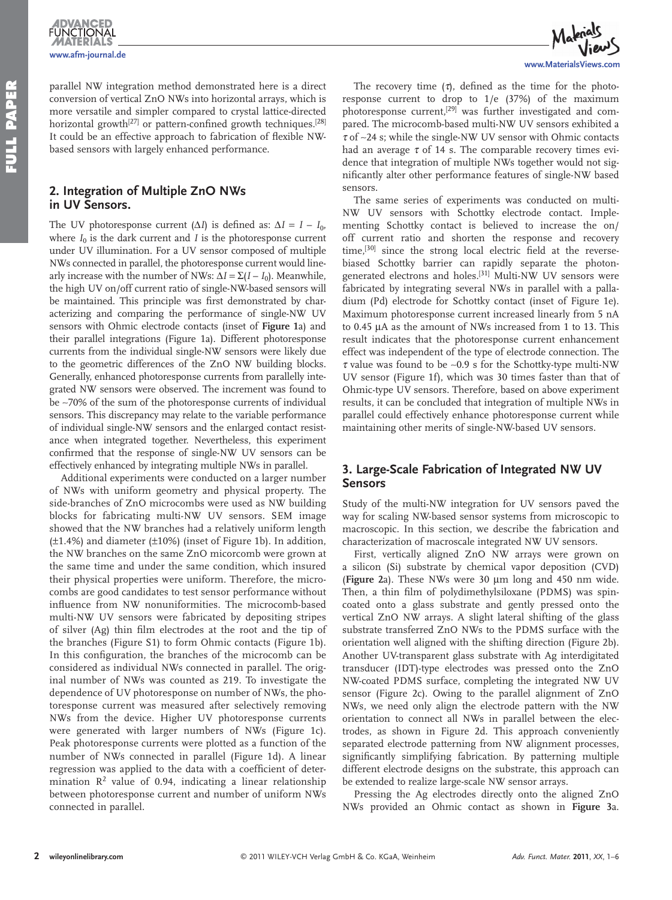**ADVANCED**<br>FUNCTIONAL **www.afm-journal.de**

parallel NW integration method demonstrated here is a direct conversion of vertical ZnO NWs into horizontal arrays, which is more versatile and simpler compared to crystal lattice-directed horizontal growth<sup>[27]</sup> or pattern-confined growth techniques.<sup>[28]</sup> It could be an effective approach to fabrication of flexible NWbased sensors with largely enhanced performance.

### **2. Integration of Multiple ZnO NWs in UV Sensors.**

The UV photoresponse current  $(\Delta I)$  is defined as:  $\Delta I = I - I_0$ , where  $I_0$  is the dark current and  $I$  is the photoresponse current under UV illumination. For a UV sensor composed of multiple NWs connected in parallel, the photoresponse current would linearly increase with the number of NWs:  $\Delta I = \Sigma (I - I_0)$ . Meanwhile, the high UV on/off current ratio of single-NW-based sensors will be maintained. This principle was first demonstrated by characterizing and comparing the performance of single-NW UV sensors with Ohmic electrode contacts (inset of **Figure 1** a) and their parallel integrations (Figure 1a). Different photoresponse currents from the individual single-NW sensors were likely due to the geometric differences of the ZnO NW building blocks. Generally, enhanced photoresponse currents from parallelly integrated NW sensors were observed. The increment was found to be ∼ 70% of the sum of the photoresponse currents of individual sensors. This discrepancy may relate to the variable performance of individual single-NW sensors and the enlarged contact resistance when integrated together. Nevertheless, this experiment confirmed that the response of single-NW UV sensors can be effectively enhanced by integrating multiple NWs in parallel.

 Additional experiments were conducted on a larger number of NWs with uniform geometry and physical property. The side-branches of ZnO microcombs were used as NW building blocks for fabricating multi-NW UV sensors. SEM image showed that the NW branches had a relatively uniform length  $(\pm 1.4\%)$  and diameter  $(\pm 10\%)$  (inset of Figure 1b). In addition, the NW branches on the same ZnO micorcomb were grown at the same time and under the same condition, which insured their physical properties were uniform. Therefore, the microcombs are good candidates to test sensor performance without influence from NW nonuniformities. The microcomb-based multi-NW UV sensors were fabricated by depositing stripes of silver (Ag) thin film electrodes at the root and the tip of the branches (Figure S1) to form Ohmic contacts (Figure 1b). In this configuration, the branches of the microcomb can be considered as individual NWs connected in parallel. The original number of NWs was counted as 219. To investigate the dependence of UV photoresponse on number of NWs, the photoresponse current was measured after selectively removing NWs from the device. Higher UV photoresponse currents were generated with larger numbers of NWs (Figure 1c). Peak photoresponse currents were plotted as a function of the number of NWs connected in parallel (Figure 1d). A linear regression was applied to the data with a coefficient of determination  $R^2$  value of 0.94, indicating a linear relationship between photoresponse current and number of uniform NWs connected in parallel.



The recovery time  $(7)$ , defined as the time for the photoresponse current to drop to 1/e (37%) of the maximum photoresponse current,<sup>[29]</sup> was further investigated and compared. The microcomb-based multi-NW UV sensors exhibited a <sup>τ</sup> of ∼ 24 s; while the single-NW UV sensor with Ohmic contacts had an average  $\tau$  of 14 s. The comparable recovery times evidence that integration of multiple NWs together would not significantly alter other performance features of single-NW based sensors.

 The same series of experiments was conducted on multi-NW UV sensors with Schottky electrode contact. Implementing Schottky contact is believed to increase the on/ off current ratio and shorten the response and recovery time,<sup>[30]</sup> since the strong local electric field at the reversebiased Schottky barrier can rapidly separate the photongenerated electrons and holes.<sup>[31]</sup> Multi-NW UV sensors were fabricated by integrating several NWs in parallel with a palladium (Pd) electrode for Schottky contact (inset of Figure 1e). Maximum photoresponse current increased linearly from 5 nA to 0.45 μA as the amount of NWs increased from 1 to 13. This result indicates that the photoresponse current enhancement effect was independent of the type of electrode connection. The <sup>τ</sup> value was found to be ∼ 0.9 s for the Schottky-type multi-NW UV sensor (Figure 1f), which was 30 times faster than that of Ohmic-type UV sensors. Therefore, based on above experiment results, it can be concluded that integration of multiple NWs in parallel could effectively enhance photoresponse current while maintaining other merits of single-NW-based UV sensors.

# **3. Large-Scale Fabrication of Integrated NW UV Sensors**

 Study of the multi-NW integration for UV sensors paved the way for scaling NW-based sensor systems from microscopic to macroscopic. In this section, we describe the fabrication and characterization of macroscale integrated NW UV sensors.

 First, vertically aligned ZnO NW arrays were grown on a silicon (Si) substrate by chemical vapor deposition (CVD) ( **Figure 2** a). These NWs were 30 μ m long and 450 nm wide. Then, a thin film of polydimethylsiloxane (PDMS) was spincoated onto a glass substrate and gently pressed onto the vertical ZnO NW arrays. A slight lateral shifting of the glass substrate transferred ZnO NWs to the PDMS surface with the orientation well aligned with the shifting direction (Figure 2b). Another UV-transparent glass substrate with Ag interdigitated transducer (IDT)-type electrodes was pressed onto the ZnO NW-coated PDMS surface, completing the integrated NW UV sensor (Figure 2c). Owing to the parallel alignment of ZnO NWs, we need only align the electrode pattern with the NW orientation to connect all NWs in parallel between the electrodes, as shown in Figure 2d. This approach conveniently separated electrode patterning from NW alignment processes, significantly simplifying fabrication. By patterning multiple different electrode designs on the substrate, this approach can be extended to realize large-scale NW sensor arrays.

 Pressing the Ag electrodes directly onto the aligned ZnO NWs provided an Ohmic contact as shown in **Figure 3** a.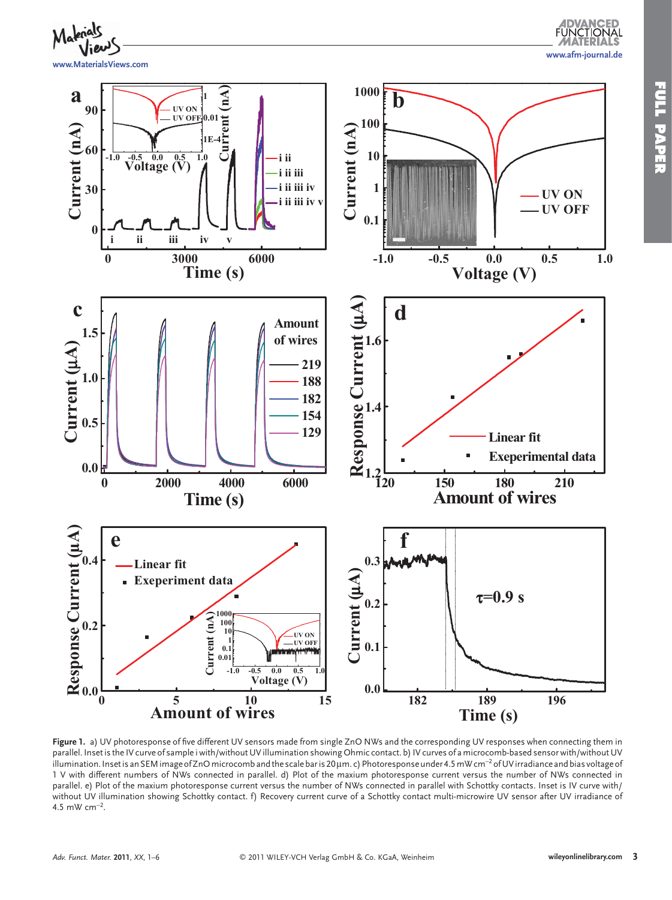

Figure 1. a) UV photoresponse of five different UV sensors made from single ZnO NWs and the corresponding UV responses when connecting them in parallel. Inset is the IV curve of sample i with/without UV illumination showing Ohmic contact. b) IV curves of a microcomb-based sensor with/without UV illumination. Inset is an SEM image of ZnO microcomb and the scale bar is 20 μm. c) Photoresponse under 4.5 mW cm<sup>-2</sup> of UV irradiance and bias voltage of 1 V with different numbers of NWs connected in parallel. d) Plot of the maxium photoresponse current versus the number of NWs connected in parallel. e) Plot of the maxium photoresponse current versus the number of NWs connected in parallel with Schottky contacts. Inset is IV curve with/ without UV illumination showing Schottky contact. f) Recovery current curve of a Schottky contact multi-microwire UV sensor after UV irradiance of 4.5 mW  $cm^{-2}$ .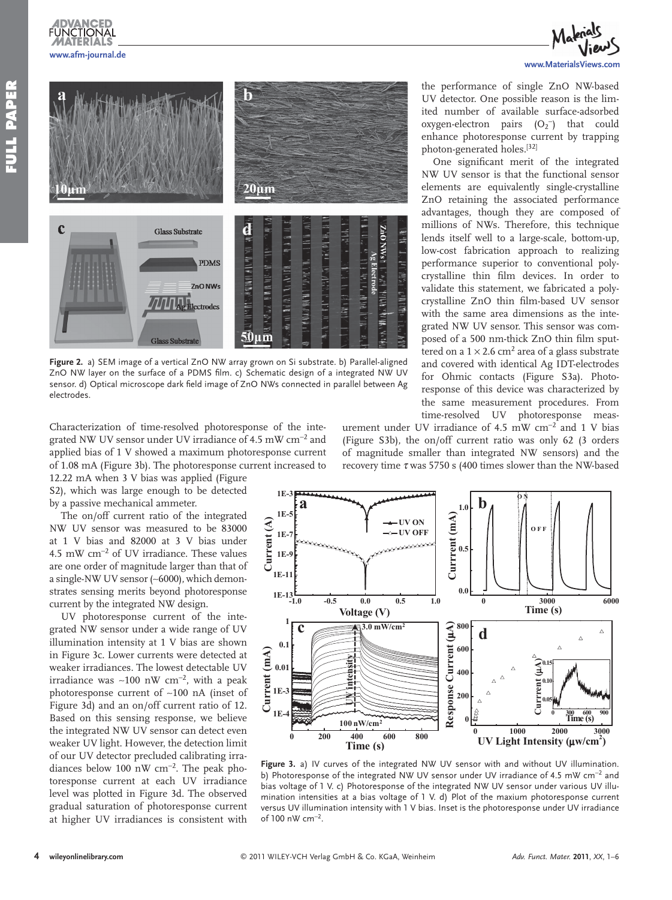**www.afm-journal.de**

**FUNCTIONAL** 

# $20 \mu m$  $\mathbf c$ d ZnO NWst **Glass Substrate** 14. The Hurley Hilley Hills  $\frac{1}{2}$   $\frac{1}{2}$   $\frac{1}{2}$   $\frac{1}{2}$   $\frac{1}{2}$   $\frac{1}{2}$   $\frac{1}{2}$   $\frac{1}{2}$   $\frac{1}{2}$   $\frac{1}{2}$ **PDMS** ZnO NWs **Electrodes** 50um **Glass Substrate**

Figure 2. a) SEM image of a vertical ZnO NW array grown on Si substrate. b) Parallel-aligned ZnO NW layer on the surface of a PDMS film. c) Schematic design of a integrated NW UV sensor. d) Optical microscope dark field image of ZnO NWs connected in parallel between Ag electrodes.

Characterization of time-resolved photoresponse of the integrated NW UV sensor under UV irradiance of 4.5 mW  $\rm cm^{-2}$  and applied bias of 1 V showed a maximum photoresponse current of 1.08 mA (Figure 3b). The photoresponse current increased to

12.22 mA when 3 V bias was applied (Figure S2), which was large enough to be detected by a passive mechanical ammeter.

 The on/off current ratio of the integrated NW UV sensor was measured to be 83000 at 1 V bias and 82000 at 3 V bias under 4.5 mW cm<sup>-2</sup> of UV irradiance. These values are one order of magnitude larger than that of a single-NW UV sensor (~6000), which demonstrates sensing merits beyond photoresponse current by the integrated NW design.

 UV photoresponse current of the integrated NW sensor under a wide range of UV illumination intensity at 1 V bias are shown in Figure 3c. Lower currents were detected at weaker irradiances. The lowest detectable UV irradiance was ~100 nW cm<sup>-2</sup>, with a peak photoresponse current of ∼ 100 nA (inset of Figure 3d) and an on/off current ratio of 12. Based on this sensing response, we believe the integrated NW UV sensor can detect even weaker UV light. However, the detection limit of our UV detector precluded calibrating irradiances below 100 nW cm<sup>-2</sup>. The peak photoresponse current at each UV irradiance level was plotted in Figure 3d. The observed gradual saturation of photoresponse current at higher UV irradiances is consistent with



the performance of single ZnO NW-based UV detector. One possible reason is the limited number of available surface-adsorbed  $oxygen-electron$  pairs  $(O_2^-)$  that could enhance photoresponse current by trapping photon-generated holes.[32]

One significant merit of the integrated NW UV sensor is that the functional sensor elements are equivalently single-crystalline ZnO retaining the associated performance advantages, though they are composed of millions of NWs. Therefore, this technique lends itself well to a large-scale, bottom-up, low-cost fabrication approach to realizing performance superior to conventional polycrystalline thin film devices. In order to validate this statement, we fabricated a polycrystalline ZnO thin film-based UV sensor with the same area dimensions as the integrated NW UV sensor. This sensor was composed of a 500 nm-thick ZnO thin film sputtered on a  $1 \times 2.6$  cm<sup>2</sup> area of a glass substrate and covered with identical Ag IDT-electrodes for Ohmic contacts (Figure S3a). Photoresponse of this device was characterized by the same measurement procedures. From time-resolved UV photoresponse meas-

urement under UV irradiance of 4.5 mW  $cm^{-2}$  and 1 V bias (Figure S3b), the on/off current ratio was only 62 (3 orders of magnitude smaller than integrated NW sensors) and the recovery time  $\tau$  was 5750 s (400 times slower than the NW-based



Figure 3. a) IV curves of the integrated NW UV sensor with and without UV illumination. b) Photoresponse of the integrated NW UV sensor under UV irradiance of 4.5 mW cm<sup>-2</sup> and bias voltage of 1 V. c) Photoresponse of the integrated NW UV sensor under various UV illumination intensities at a bias voltage of 1 V. d) Plot of the maxium photoresponse current versus UV illumination intensity with 1 V bias. Inset is the photoresponse under UV irradiance of 100 nW cm<sup>-2</sup>.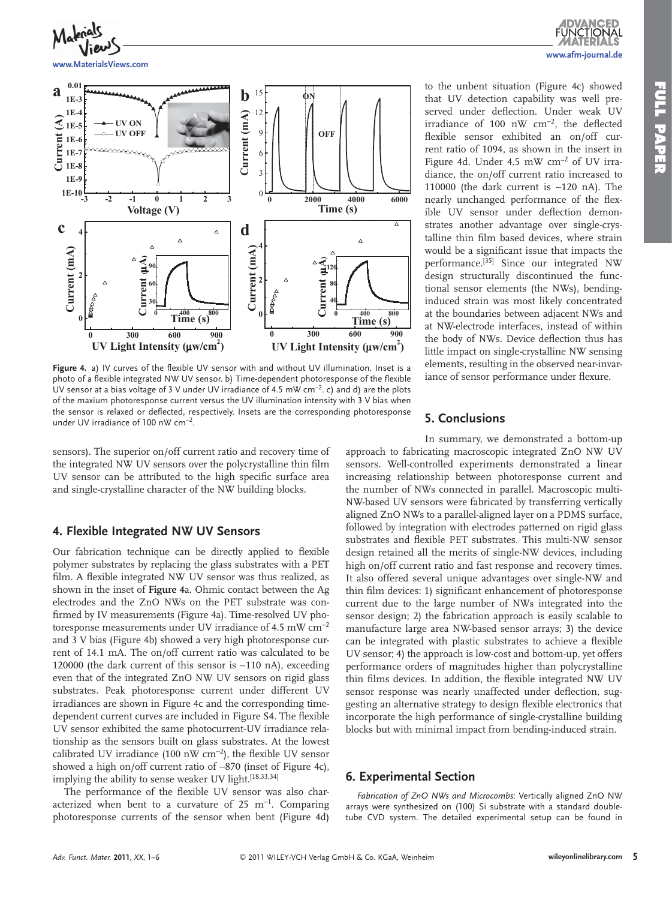**www.afm-journal.de**

**FUNCTIONAL** 



**www.MaterialsViews.com**



Figure 4. a) IV curves of the flexible UV sensor with and without UV illumination. Inset is a photo of a flexible integrated NW UV sensor. b) Time-dependent photoresponse of the flexible UV sensor at a bias voltage of 3 V under UV irradiance of 4.5 mW cm<sup>-2</sup>. c) and d) are the plots of the maxium photoresponse current versus the UV illumination intensity with 3 V bias when the sensor is relaxed or deflected, respectively. Insets are the corresponding photoresponse under UV irradiance of 100 nW cm<sup>-2</sup>.

sensors). The superior on/off current ratio and recovery time of the integrated NW UV sensors over the polycrystalline thin film UV sensor can be attributed to the high specific surface area and single-crystalline character of the NW building blocks.

#### **4. Flexible Integrated NW UV Sensors**

Our fabrication technique can be directly applied to flexible polymer substrates by replacing the glass substrates with a PET film. A flexible integrated NW UV sensor was thus realized, as shown in the inset of **Figure 4** a. Ohmic contact between the Ag electrodes and the ZnO NWs on the PET substrate was confirmed by IV measurements (Figure 4a). Time-resolved UV photoresponse measurements under UV irradiance of 4.5 mW  $cm^{-2}$ and 3 V bias (Figure 4b) showed a very high photoresponse current of 14.1 mA. The on/off current ratio was calculated to be 120000 (the dark current of this sensor is ∼ 110 nA), exceeding even that of the integrated ZnO NW UV sensors on rigid glass substrates. Peak photoresponse current under different UV irradiances are shown in Figure 4c and the corresponding timedependent current curves are included in Figure S4. The flexible UV sensor exhibited the same photocurrent-UV irradiance relationship as the sensors built on glass substrates. At the lowest calibrated UV irradiance (100 nW cm<sup>-2</sup>), the flexible UV sensor showed a high on/off current ratio of ~870 (inset of Figure 4c), implying the ability to sense weaker UV light.<sup>[18,33,34]</sup>

The performance of the flexible UV sensor was also characterized when bent to a curvature of  $25 \text{ m}^{-1}$ . Comparing photoresponse currents of the sensor when bent (Figure 4d)

to the unbent situation (Figure 4c) showed that UV detection capability was well preserved under deflection. Under weak UV irradiance of 100 nW cm<sup>-2</sup>, the deflected flexible sensor exhibited an on/off current ratio of 1094, as shown in the insert in Figure 4d. Under 4.5 mW cm<sup>-2</sup> of UV irradiance, the on/off current ratio increased to 110000 (the dark current is ∼ 120 nA). The nearly unchanged performance of the flexible UV sensor under deflection demonstrates another advantage over single-crystalline thin film based devices, where strain would be a significant issue that impacts the performance.<sup>[35]</sup> Since our integrated NW design structurally discontinued the functional sensor elements (the NWs), bendinginduced strain was most likely concentrated at the boundaries between adjacent NWs and at NW-electrode interfaces, instead of within the body of NWs. Device deflection thus has little impact on single-crystalline NW sensing elements, resulting in the observed near-invariance of sensor performance under flexure.

#### **5. Conclusions**

 In summary, we demonstrated a bottom-up approach to fabricating macroscopic integrated ZnO NW UV sensors. Well-controlled experiments demonstrated a linear increasing relationship between photoresponse current and the number of NWs connected in parallel. Macroscopic multi-NW-based UV sensors were fabricated by transferring vertically aligned ZnO NWs to a parallel-aligned layer on a PDMS surface, followed by integration with electrodes patterned on rigid glass substrates and flexible PET substrates. This multi-NW sensor design retained all the merits of single-NW devices, including high on/off current ratio and fast response and recovery times. It also offered several unique advantages over single-NW and thin film devices: 1) significant enhancement of photoresponse current due to the large number of NWs integrated into the sensor design; 2) the fabrication approach is easily scalable to manufacture large area NW-based sensor arrays; 3) the device can be integrated with plastic substrates to achieve a flexible UV sensor; 4) the approach is low-cost and bottom-up, yet offers performance orders of magnitudes higher than polycrystalline thin films devices. In addition, the flexible integrated NW UV sensor response was nearly unaffected under deflection, suggesting an alternative strategy to design flexible electronics that incorporate the high performance of single-crystalline building blocks but with minimal impact from bending-induced strain.

#### **6. Experimental Section**

*Fabrication of ZnO NWs and Microcombs* : Vertically aligned ZnO NW arrays were synthesized on (100) Si substrate with a standard doubletube CVD system. The detailed experimental setup can be found in